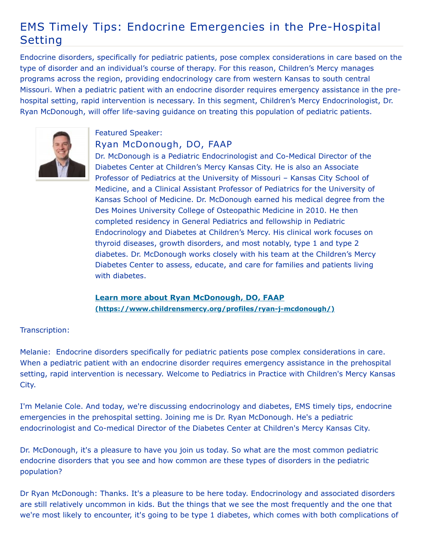## EMS Timely Tips: Endocrine Emergencies in the Pre-Hospital Setting

Endocrine disorders, specifically for pediatric patients, pose complex considerations in care based on the type of disorder and an individual's course of therapy. For this reason, Children's Mercy manages programs across the region, providing endocrinology care from western Kansas to south central Missouri. When a pediatric patient with an endocrine disorder requires emergency assistance in the prehospital setting, rapid intervention is necessary. In this segment, Children's Mercy Endocrinologist, Dr. Ryan McDonough, will offer life-saving guidance on treating this population of pediatric patients.



## Featured Speaker: Ryan McDonough, DO, FAAP

Dr. McDonough is a Pediatric Endocrinologist and Co-Medical Director of the Diabetes Center at Children's Mercy Kansas City. He is also an Associate Professor of Pediatrics at the University of Missouri – Kansas City School of Medicine, and a Clinical Assistant Professor of Pediatrics for the University of Kansas School of Medicine. Dr. McDonough earned his medical degree from the Des Moines University College of Osteopathic Medicine in 2010. He then completed residency in General Pediatrics and fellowship in Pediatric Endocrinology and Diabetes at Children's Mercy. His clinical work focuses on thyroid diseases, growth disorders, and most notably, type 1 and type 2 diabetes. Dr. McDonough works closely with his team at the Children's Mercy Diabetes Center to assess, educate, and care for families and patients living with diabetes.

## **Learn more about Ryan McDonough, DO, FAAP [\(https://www.childrensmercy.org/profiles/ryan-j-mcdonough/\)](https://www.childrensmercy.org/profiles/ryan-j-mcdonough/)**

## Transcription:

Melanie: Endocrine disorders specifically for pediatric patients pose complex considerations in care. When a pediatric patient with an endocrine disorder requires emergency assistance in the prehospital setting, rapid intervention is necessary. Welcome to Pediatrics in Practice with Children's Mercy Kansas City.

I'm Melanie Cole. And today, we're discussing endocrinology and diabetes, EMS timely tips, endocrine emergencies in the prehospital setting. Joining me is Dr. Ryan McDonough. He's a pediatric endocrinologist and Co-medical Director of the Diabetes Center at Children's Mercy Kansas City.

Dr. McDonough, it's a pleasure to have you join us today. So what are the most common pediatric endocrine disorders that you see and how common are these types of disorders in the pediatric population?

Dr Ryan McDonough: Thanks. It's a pleasure to be here today. Endocrinology and associated disorders are still relatively uncommon in kids. But the things that we see the most frequently and the one that we're most likely to encounter, it's going to be type 1 diabetes, which comes with both complications of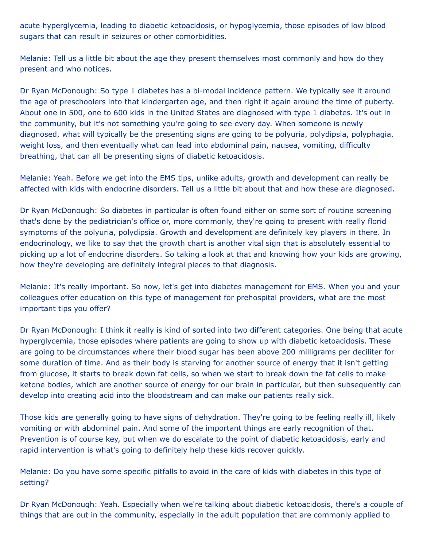acute hyperglycemia, leading to diabetic ketoacidosis, or hypoglycemia, those episodes of low blood sugars that can result in seizures or other comorbidities.

Melanie: Tell us a little bit about the age they present themselves most commonly and how do they present and who notices.

Dr Ryan McDonough: So type 1 diabetes has a bi-modal incidence pattern. We typically see it around the age of preschoolers into that kindergarten age, and then right it again around the time of puberty. About one in 500, one to 600 kids in the United States are diagnosed with type 1 diabetes. It's out in the community, but it's not something you're going to see every day. When someone is newly diagnosed, what will typically be the presenting signs are going to be polyuria, polydipsia, polyphagia, weight loss, and then eventually what can lead into abdominal pain, nausea, vomiting, difficulty breathing, that can all be presenting signs of diabetic ketoacidosis.

Melanie: Yeah. Before we get into the EMS tips, unlike adults, growth and development can really be affected with kids with endocrine disorders. Tell us a little bit about that and how these are diagnosed.

Dr Ryan McDonough: So diabetes in particular is often found either on some sort of routine screening that's done by the pediatrician's office or, more commonly, they're going to present with really florid symptoms of the polyuria, polydipsia. Growth and development are definitely key players in there. In endocrinology, we like to say that the growth chart is another vital sign that is absolutely essential to picking up a lot of endocrine disorders. So taking a look at that and knowing how your kids are growing, how they're developing are definitely integral pieces to that diagnosis.

Melanie: It's really important. So now, let's get into diabetes management for EMS. When you and your colleagues offer education on this type of management for prehospital providers, what are the most important tips you offer?

Dr Ryan McDonough: I think it really is kind of sorted into two different categories. One being that acute hyperglycemia, those episodes where patients are going to show up with diabetic ketoacidosis. These are going to be circumstances where their blood sugar has been above 200 milligrams per deciliter for some duration of time. And as their body is starving for another source of energy that it isn't getting from glucose, it starts to break down fat cells, so when we start to break down the fat cells to make ketone bodies, which are another source of energy for our brain in particular, but then subsequently can develop into creating acid into the bloodstream and can make our patients really sick.

Those kids are generally going to have signs of dehydration. They're going to be feeling really ill, likely vomiting or with abdominal pain. And some of the important things are early recognition of that. Prevention is of course key, but when we do escalate to the point of diabetic ketoacidosis, early and rapid intervention is what's going to definitely help these kids recover quickly.

Melanie: Do you have some specific pitfalls to avoid in the care of kids with diabetes in this type of setting?

Dr Ryan McDonough: Yeah. Especially when we're talking about diabetic ketoacidosis, there's a couple of things that are out in the community, especially in the adult population that are commonly applied to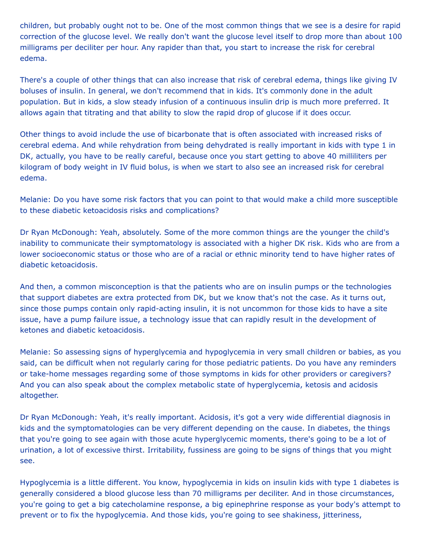children, but probably ought not to be. One of the most common things that we see is a desire for rapid correction of the glucose level. We really don't want the glucose level itself to drop more than about 100 milligrams per deciliter per hour. Any rapider than that, you start to increase the risk for cerebral edema.

There's a couple of other things that can also increase that risk of cerebral edema, things like giving IV boluses of insulin. In general, we don't recommend that in kids. It's commonly done in the adult population. But in kids, a slow steady infusion of a continuous insulin drip is much more preferred. It allows again that titrating and that ability to slow the rapid drop of glucose if it does occur.

Other things to avoid include the use of bicarbonate that is often associated with increased risks of cerebral edema. And while rehydration from being dehydrated is really important in kids with type 1 in DK, actually, you have to be really careful, because once you start getting to above 40 milliliters per kilogram of body weight in IV fluid bolus, is when we start to also see an increased risk for cerebral edema.

Melanie: Do you have some risk factors that you can point to that would make a child more susceptible to these diabetic ketoacidosis risks and complications?

Dr Ryan McDonough: Yeah, absolutely. Some of the more common things are the younger the child's inability to communicate their symptomatology is associated with a higher DK risk. Kids who are from a lower socioeconomic status or those who are of a racial or ethnic minority tend to have higher rates of diabetic ketoacidosis.

And then, a common misconception is that the patients who are on insulin pumps or the technologies that support diabetes are extra protected from DK, but we know that's not the case. As it turns out, since those pumps contain only rapid-acting insulin, it is not uncommon for those kids to have a site issue, have a pump failure issue, a technology issue that can rapidly result in the development of ketones and diabetic ketoacidosis.

Melanie: So assessing signs of hyperglycemia and hypoglycemia in very small children or babies, as you said, can be difficult when not regularly caring for those pediatric patients. Do you have any reminders or take-home messages regarding some of those symptoms in kids for other providers or caregivers? And you can also speak about the complex metabolic state of hyperglycemia, ketosis and acidosis altogether.

Dr Ryan McDonough: Yeah, it's really important. Acidosis, it's got a very wide differential diagnosis in kids and the symptomatologies can be very different depending on the cause. In diabetes, the things that you're going to see again with those acute hyperglycemic moments, there's going to be a lot of urination, a lot of excessive thirst. Irritability, fussiness are going to be signs of things that you might see.

Hypoglycemia is a little different. You know, hypoglycemia in kids on insulin kids with type 1 diabetes is generally considered a blood glucose less than 70 milligrams per deciliter. And in those circumstances, you're going to get a big catecholamine response, a big epinephrine response as your body's attempt to prevent or to fix the hypoglycemia. And those kids, you're going to see shakiness, jitteriness,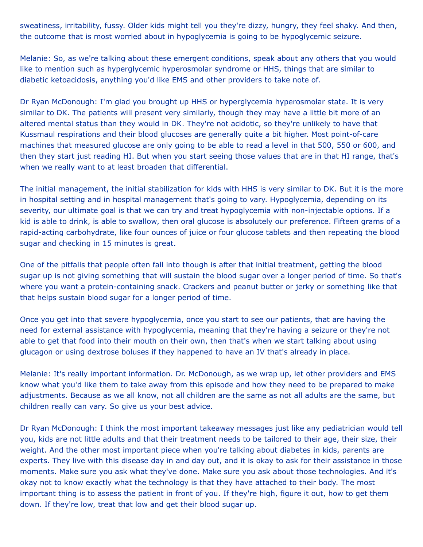sweatiness, irritability, fussy. Older kids might tell you they're dizzy, hungry, they feel shaky. And then, the outcome that is most worried about in hypoglycemia is going to be hypoglycemic seizure.

Melanie: So, as we're talking about these emergent conditions, speak about any others that you would like to mention such as hyperglycemic hyperosmolar syndrome or HHS, things that are similar to diabetic ketoacidosis, anything you'd like EMS and other providers to take note of.

Dr Ryan McDonough: I'm glad you brought up HHS or hyperglycemia hyperosmolar state. It is very similar to DK. The patients will present very similarly, though they may have a little bit more of an altered mental status than they would in DK. They're not acidotic, so they're unlikely to have that Kussmaul respirations and their blood glucoses are generally quite a bit higher. Most point-of-care machines that measured glucose are only going to be able to read a level in that 500, 550 or 600, and then they start just reading HI. But when you start seeing those values that are in that HI range, that's when we really want to at least broaden that differential.

The initial management, the initial stabilization for kids with HHS is very similar to DK. But it is the more in hospital setting and in hospital management that's going to vary. Hypoglycemia, depending on its severity, our ultimate goal is that we can try and treat hypoglycemia with non-injectable options. If a kid is able to drink, is able to swallow, then oral glucose is absolutely our preference. Fifteen grams of a rapid-acting carbohydrate, like four ounces of juice or four glucose tablets and then repeating the blood sugar and checking in 15 minutes is great.

One of the pitfalls that people often fall into though is after that initial treatment, getting the blood sugar up is not giving something that will sustain the blood sugar over a longer period of time. So that's where you want a protein-containing snack. Crackers and peanut butter or jerky or something like that that helps sustain blood sugar for a longer period of time.

Once you get into that severe hypoglycemia, once you start to see our patients, that are having the need for external assistance with hypoglycemia, meaning that they're having a seizure or they're not able to get that food into their mouth on their own, then that's when we start talking about using glucagon or using dextrose boluses if they happened to have an IV that's already in place.

Melanie: It's really important information. Dr. McDonough, as we wrap up, let other providers and EMS know what you'd like them to take away from this episode and how they need to be prepared to make adjustments. Because as we all know, not all children are the same as not all adults are the same, but children really can vary. So give us your best advice.

Dr Ryan McDonough: I think the most important takeaway messages just like any pediatrician would tell you, kids are not little adults and that their treatment needs to be tailored to their age, their size, their weight. And the other most important piece when you're talking about diabetes in kids, parents are experts. They live with this disease day in and day out, and it is okay to ask for their assistance in those moments. Make sure you ask what they've done. Make sure you ask about those technologies. And it's okay not to know exactly what the technology is that they have attached to their body. The most important thing is to assess the patient in front of you. If they're high, figure it out, how to get them down. If they're low, treat that low and get their blood sugar up.